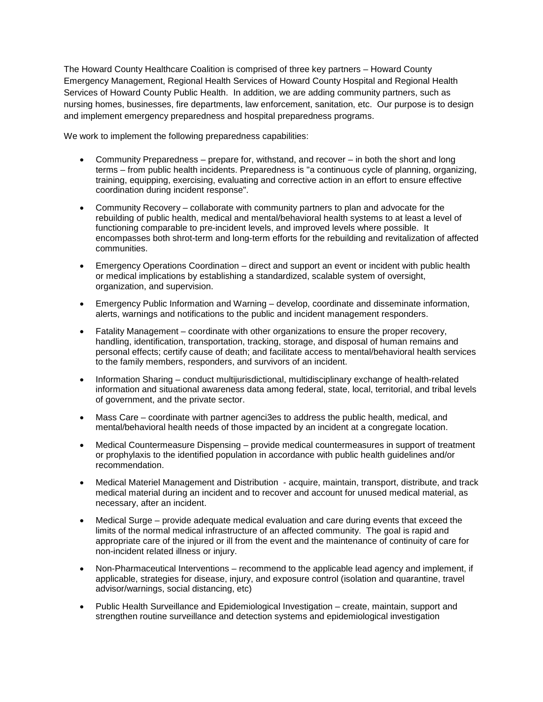The Howard County Healthcare Coalition is comprised of three key partners – Howard County Emergency Management, Regional Health Services of Howard County Hospital and Regional Health Services of Howard County Public Health. In addition, we are adding community partners, such as nursing homes, businesses, fire departments, law enforcement, sanitation, etc. Our purpose is to design and implement emergency preparedness and hospital preparedness programs.

We work to implement the following preparedness capabilities:

- Community Preparedness prepare for, withstand, and recover in both the short and long terms – from public health incidents. Preparedness is "a continuous cycle of planning, organizing, training, equipping, exercising, evaluating and corrective action in an effort to ensure effective coordination during incident response".
- Community Recovery collaborate with community partners to plan and advocate for the rebuilding of public health, medical and mental/behavioral health systems to at least a level of functioning comparable to pre-incident levels, and improved levels where possible. It encompasses both shrot-term and long-term efforts for the rebuilding and revitalization of affected communities.
- Emergency Operations Coordination direct and support an event or incident with public health or medical implications by establishing a standardized, scalable system of oversight, organization, and supervision.
- Emergency Public Information and Warning develop, coordinate and disseminate information, alerts, warnings and notifications to the public and incident management responders.
- Fatality Management coordinate with other organizations to ensure the proper recovery, handling, identification, transportation, tracking, storage, and disposal of human remains and personal effects; certify cause of death; and facilitate access to mental/behavioral health services to the family members, responders, and survivors of an incident.
- Information Sharing conduct multijurisdictional, multidisciplinary exchange of health-related information and situational awareness data among federal, state, local, territorial, and tribal levels of government, and the private sector.
- Mass Care coordinate with partner agenci3es to address the public health, medical, and mental/behavioral health needs of those impacted by an incident at a congregate location.
- Medical Countermeasure Dispensing provide medical countermeasures in support of treatment or prophylaxis to the identified population in accordance with public health guidelines and/or recommendation.
- Medical Materiel Management and Distribution acquire, maintain, transport, distribute, and track medical material during an incident and to recover and account for unused medical material, as necessary, after an incident.
- Medical Surge provide adequate medical evaluation and care during events that exceed the limits of the normal medical infrastructure of an affected community. The goal is rapid and appropriate care of the injured or ill from the event and the maintenance of continuity of care for non-incident related illness or injury.
- Non-Pharmaceutical Interventions recommend to the applicable lead agency and implement, if applicable, strategies for disease, injury, and exposure control (isolation and quarantine, travel advisor/warnings, social distancing, etc)
- Public Health Surveillance and Epidemiological Investigation create, maintain, support and strengthen routine surveillance and detection systems and epidemiological investigation